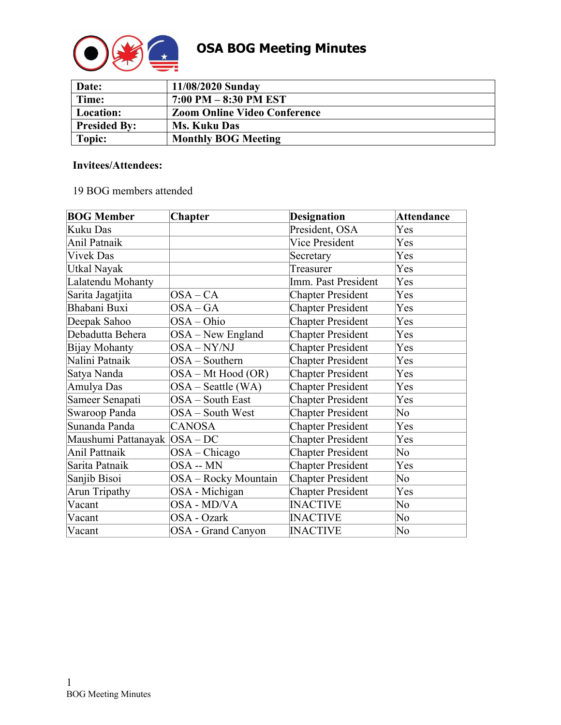

| Date:               | 11/08/2020 Sunday                   |
|---------------------|-------------------------------------|
| Time:               | $7:00$ PM $-8:30$ PM EST            |
| Location:           | <b>Zoom Online Video Conference</b> |
| <b>Presided By:</b> | <b>Ms. Kuku Das</b>                 |
| Topic:              | <b>Monthly BOG Meeting</b>          |

#### **Invitees/Attendees:**

# 19 BOG members attended

| <b>BOG Member</b>             | <b>Chapter</b>       | <b>Designation</b>       | <b>Attendance</b> |
|-------------------------------|----------------------|--------------------------|-------------------|
| Kuku Das                      |                      | President, OSA           | Yes               |
| Anil Patnaik                  |                      | <b>Vice President</b>    | Yes               |
| <b>Vivek Das</b>              |                      | Secretary                | Yes               |
| Utkal Nayak                   |                      | Treasurer                | Yes               |
| Lalatendu Mohanty             |                      | Imm. Past President      | Yes               |
| Sarita Jagatjita              | $OSA-CA$             | <b>Chapter President</b> | Yes               |
| Bhabani Buxi                  | $OSA-GA$             | <b>Chapter President</b> | Yes               |
| Deepak Sahoo                  | OSA-Ohio             | <b>Chapter President</b> | Yes               |
| Debadutta Behera              | OSA - New England    | <b>Chapter President</b> | Yes               |
| Bijay Mohanty                 | OSA-NY/NJ            | <b>Chapter President</b> | Yes               |
| Nalini Patnaik                | OSA - Southern       | <b>Chapter President</b> | Yes               |
| Satya Nanda                   | OSA – Mt Hood (OR)   | <b>Chapter President</b> | Yes               |
| Amulya Das                    | $OSA - Seattle (WA)$ | <b>Chapter President</b> | Yes               |
| Sameer Senapati               | OSA - South East     | <b>Chapter President</b> | Yes               |
| Swaroop Panda                 | OSA - South West     | <b>Chapter President</b> | No                |
| Sunanda Panda                 | <b>CANOSA</b>        | <b>Chapter President</b> | Yes               |
| Maushumi Pattanayak  OSA – DC |                      | <b>Chapter President</b> | Yes               |
| Anil Pattnaik                 | $OSA - Chicago$      | <b>Chapter President</b> | No                |
| Sarita Patnaik                | OSA -- MN            | <b>Chapter President</b> | Yes               |
| Sanjib Bisoi                  | OSA - Rocky Mountain | <b>Chapter President</b> | No                |
| Arun Tripathy                 | OSA - Michigan       | <b>Chapter President</b> | Yes               |
| Vacant                        | OSA - MD/VA          | <b>INACTIVE</b>          | No                |
| Vacant                        | OSA - Ozark          | <b>INACTIVE</b>          | No                |
| Vacant                        | OSA - Grand Canyon   | <b>INACTIVE</b>          | No                |